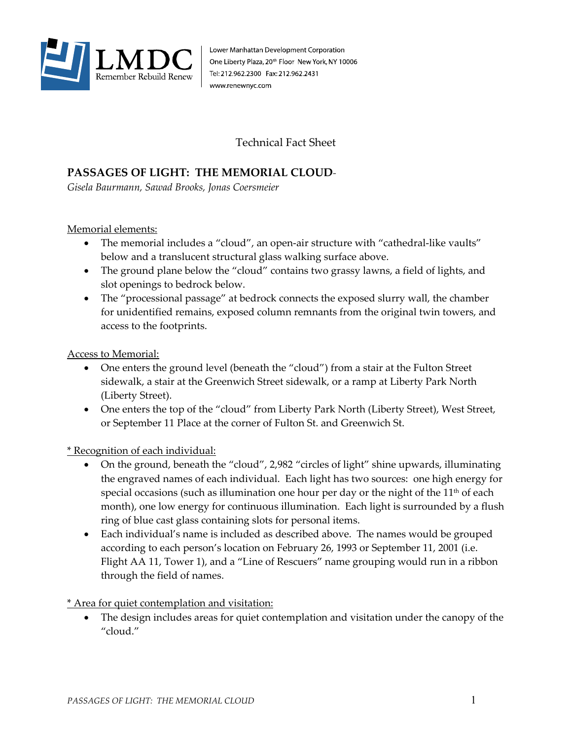

Lower Manhattan Development Corporation One Liberty Plaza, 20<sup>th</sup> Floor New York, NY 10006 Tel: 212.962.2300 Fax: 212.962.2431 www.renewnyc.com

Technical Fact Sheet

## **PASSAGES OF LIGHT: THE MEMORIAL CLOUD***-*

*Gisela Baurmann, Sawad Brooks, Jonas Coersmeier* 

Memorial elements:

- The memorial includes a "cloud", an open-air structure with "cathedral-like vaults" below and a translucent structural glass walking surface above.
- The ground plane below the "cloud" contains two grassy lawns, a field of lights, and slot openings to bedrock below.
- The "processional passage" at bedrock connects the exposed slurry wall, the chamber for unidentified remains, exposed column remnants from the original twin towers, and access to the footprints.

Access to Memorial:

- One enters the ground level (beneath the "cloud") from a stair at the Fulton Street sidewalk, a stair at the Greenwich Street sidewalk, or a ramp at Liberty Park North (Liberty Street).
- One enters the top of the "cloud" from Liberty Park North (Liberty Street), West Street, or September 11 Place at the corner of Fulton St. and Greenwich St.

\* Recognition of each individual:

- On the ground, beneath the "cloud", 2,982 "circles of light" shine upwards, illuminating the engraved names of each individual. Each light has two sources: one high energy for special occasions (such as illumination one hour per day or the night of the  $11<sup>th</sup>$  of each month), one low energy for continuous illumination. Each light is surrounded by a flush ring of blue cast glass containing slots for personal items.
- Each individual's name is included as described above. The names would be grouped according to each person's location on February 26, 1993 or September 11, 2001 (i.e. Flight AA 11, Tower 1), and a "Line of Rescuers" name grouping would run in a ribbon through the field of names.

\* Area for quiet contemplation and visitation:

The design includes areas for quiet contemplation and visitation under the canopy of the "cloud."